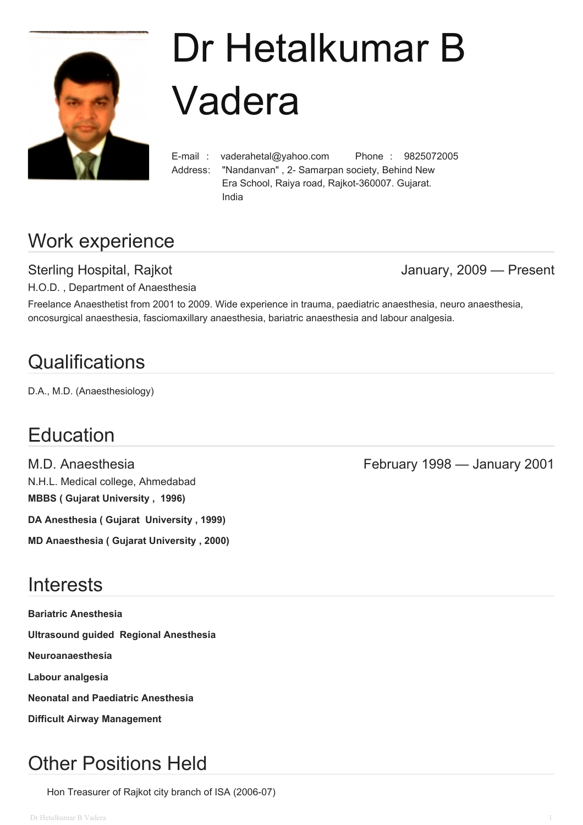

# Dr Hetalkumar B Vadera

E-mail : vaderahetal@yahoo.com Phone : 9825072005 Address: "Nandanvan" , 2- Samarpan society, Behind New Era School, Raiya road, Rajkot-360007. Gujarat. India

# Work experience

Sterling Hospital, Rajkot **Grand Contract Contract Contract Contract Contract Contract Contract Contract Contract Contract Contract Contract Contract Contract Contract Contract Contract Contract Contract Contract Contract** 

H.O.D. , Department of Anaesthesia

Freelance Anaesthetist from 2001 to 2009. Wide experience in trauma, paediatric anaesthesia, neuro anaesthesia, oncosurgical anaesthesia, fasciomaxillary anaesthesia, bariatric anaesthesia and labour analgesia.

# **Qualifications**

D.A., M.D. (Anaesthesiology)

# **Education**

N.H.L. Medical college, Ahmedabad **MBBS ( Gujarat University , 1996) DA Anesthesia ( Gujarat University , 1999) MD Anaesthesia ( Gujarat University , 2000)**

# **Interests**

**Bariatric Anesthesia Ultrasound guided Regional Anesthesia Neuroanaesthesia Labour analgesia Neonatal and Paediatric Anesthesia Difficult Airway Management**

# Other Positions Held

Hon Treasurer of Rajkot city branch of ISA (2006-07)

M.D. Anaesthesia February 1998 — January 2001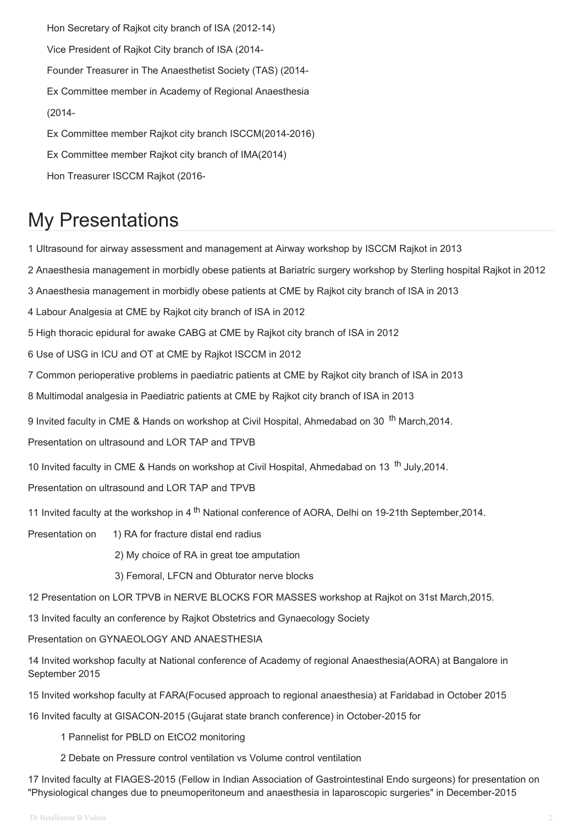Hon Secretary of Rajkot city branch of ISA (2012-14) Vice President of Rajkot City branch of ISA (2014- Founder Treasurer in The Anaesthetist Society (TAS) (2014- Ex Committee member in Academy of Regional Anaesthesia (2014- Ex Committee member Rajkot city branch ISCCM(2014-2016) Ex Committee member Rajkot city branch of IMA(2014)

#### Hon Treasurer ISCCM Rajkot (2016-

### My Presentations

1 Ultrasound for airway assessment and management at Airway workshop by ISCCM Rajkot in 2013

2 Anaesthesia management in morbidly obese patients at Bariatric surgery workshop by Sterling hospital Rajkot in 2012

3 Anaesthesia management in morbidly obese patients at CME by Rajkot city branch of ISA in 2013

4 Labour Analgesia at CME by Rajkot city branch of ISA in 2012

5 High thoracic epidural for awake CABG at CME by Rajkot city branch of ISA in 2012

6 Use of USG in ICU and OT at CME by Rajkot ISCCM in 2012

7 Common perioperative problems in paediatric patients at CME by Rajkot city branch of ISA in 2013

8 Multimodal analgesia in Paediatric patients at CME by Rajkot city branch of ISA in 2013

9 Invited faculty in CME & Hands on workshop at Civil Hospital, Ahmedabad on 30 <sup>th</sup> March,2014.

Presentation on ultrasound and LOR TAP and TPVB

10 Invited faculty in CME & Hands on workshop at Civil Hospital, Ahmedabad on 13<sup>th</sup> July, 2014.

Presentation on ultrasound and LOR TAP and TPVB

11 Invited faculty at the workshop in 4<sup>th</sup> National conference of AORA, Delhi on 19-21th September, 2014.

Presentation on 1) RA for fracture distal end radius

2) My choice of RA in great toe amputation

3) Femoral, LFCN and Obturator nerve blocks

12 Presentation on LOR TPVB in NERVE BLOCKS FOR MASSES workshop at Rajkot on 31st March,2015.

13 Invited faculty an conference by Rajkot Obstetrics and Gynaecology Society

Presentation on GYNAEOLOGY AND ANAESTHESIA

14 Invited workshop faculty at National conference of Academy of regional Anaesthesia(AORA) at Bangalore in September 2015

15 Invited workshop faculty at FARA(Focused approach to regional anaesthesia) at Faridabad in October 2015

16 Invited faculty at GISACON-2015 (Gujarat state branch conference) in October-2015 for

1 Pannelist for PBLD on EtCO2 monitoring

2 Debate on Pressure control ventilation vs Volume control ventilation

17 Invited faculty at FIAGES-2015 (Fellow in Indian Association of Gastrointestinal Endo surgeons) for presentation on "Physiological changes due to pneumoperitoneum and anaesthesia in laparoscopic surgeries" in December-2015